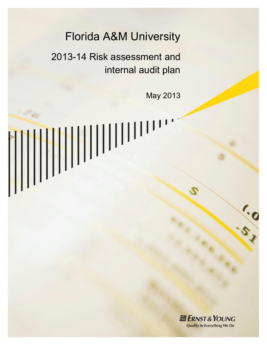Florida A&M University

2013-14 Risk assessment and internal audit plan

May 2013 

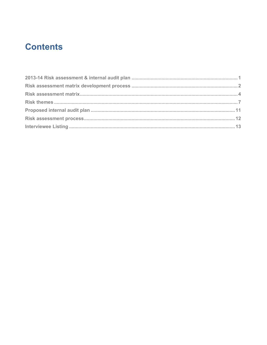## **Contents**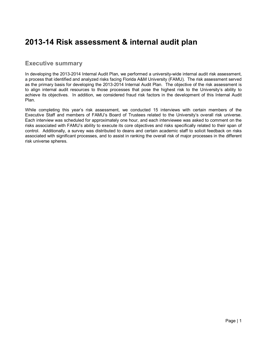## **2013-14 Risk assessment & internal audit plan**

### **Executive summary**

In developing the 2013-2014 Internal Audit Plan, we performed a university-wide internal audit risk assessment, a process that identified and analyzed risks facing Florida A&M University (FAMU). The risk assessment served as the primary basis for developing the 2013-2014 Internal Audit Plan. The objective of the risk assessment is to align internal audit resources to those processes that pose the highest risk to the University's ability to achieve its objectives. In addition, we considered fraud risk factors in the development of this Internal Audit Plan.

While completing this year's risk assessment, we conducted 15 interviews with certain members of the Executive Staff and members of FAMU's Board of Trustees related to the University's overall risk universe. Each interview was scheduled for approximately one hour, and each interviewee was asked to comment on the risks associated with FAMU's ability to execute its core objectives and risks specifically related to their span of control. Additionally, a survey was distributed to deans and certain academic staff to solicit feedback on risks associated with significant processes, and to assist in ranking the overall risk of major processes in the different risk universe spheres.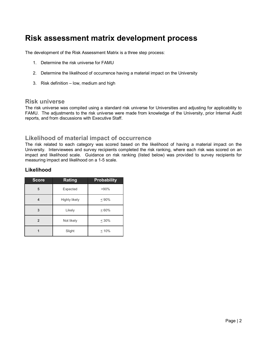## **Risk assessment matrix development process**

The development of the Risk Assessment Matrix is a three step process:

- 1. Determine the risk universe for FAMU
- 2. Determine the likelihood of occurrence having a material impact on the University
- 3. Risk definition low, medium and high

### **Risk universe**

The risk universe was compiled using a standard risk universe for Universities and adjusting for applicability to FAMU. The adjustments to the risk universe were made from knowledge of the University, prior Internal Audit reports, and from discussions with Executive Staff.

### **Likelihood of material impact of occurrence**

The risk related to each category was scored based on the likelihood of having a material impact on the University. Interviewees and survey recipients completed the risk ranking, where each risk was scored on an impact and likelihood scale. Guidance on risk ranking (listed below) was provided to survey recipients for measuring impact and likelihood on a 1-5 scale.

| <b>Score</b>   | <b>Rating</b> | <b>Probability</b> |
|----------------|---------------|--------------------|
| 5              | Expected      | >90%               |
| 4              | Highly likely | < 90%              |
| 3              | Likely        | $<60\%$            |
| $\overline{2}$ | Not likely    | < 30%              |
| 1              | Slight        | < 10%              |

### **Likelihood**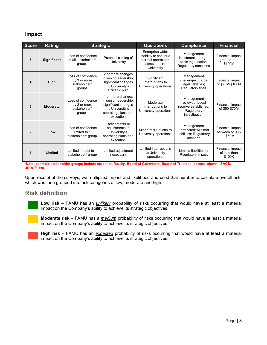### **Impact**

| <b>Score</b>             | <b>Rating</b>      | <b>Strategic</b>                                             |                                                                                                                        | <b>Operations</b>                                                                             | <b>Compliance</b>                                                                    | <b>Financial</b>                              |
|--------------------------|--------------------|--------------------------------------------------------------|------------------------------------------------------------------------------------------------------------------------|-----------------------------------------------------------------------------------------------|--------------------------------------------------------------------------------------|-----------------------------------------------|
| 5                        | <b>Significant</b> | Loss of confidence<br>in all stakeholder*<br>groups          | Potential closing of<br>University                                                                                     | Enterprise wide;<br>inability to continue<br>normal operations<br>across entire<br>University | Management<br>indictments; Large-<br>scale legal action;<br>Regulatory sanctions     | Financial impact<br>greater than<br>\$100M    |
| 4                        | High               | Loss of confidence<br>by 3 or more<br>stakeholder*<br>groups | 2 or more changes<br>in senior leadership;<br>significant changes<br>to University's<br>strategic plan                 | Significant<br>interruptions to<br>University operations                                      | Management<br>challenges; Large<br>legal liabilities;<br>Regulatory fines            | Financial impact<br>of \$70M-\$100M           |
| 3                        | Moderate           | Loss of confidence<br>by 2 or more<br>stakeholder*<br>groups | or more changes<br>in senior leadership;<br>significant changes<br>to University's<br>operating plans and<br>execution | Moderate<br>interruptions to<br>University operations                                         | Management<br>reviewed; Legal<br>reserve established:<br>Regulatory<br>investigation | Financial impact<br>of \$50-\$70M             |
| $\overline{\phantom{a}}$ | Low                | Loss of confidence<br>limited to 1<br>stakeholder* group     | Refinements or<br>adjustments to<br>University's<br>operating plans and<br>execution                                   | Minor interruptions to<br>University operations                                               | Management<br>unaffected; Minimal<br>liabilities; Regulatory<br>attention            | Financial impact<br>between \$100K<br>- \$50M |
| 1                        | Limited            | Limited impact to 1<br>stakeholder* group                    | Limited adjustment<br>necessary                                                                                        | Limited interruptions<br>to University<br>operations                                          | Limited liabilities or<br>Regulatory impact                                          | Financial impact<br>of less than<br>\$100K    |

**\*Note: example stakeholder groups include students, faculty, Board of Governors, Board of Trustees, donors, alumni, SACS, USDOE, etc.**

Upon receipt of the surveys, we multiplied impact and likelihood and used that number to calculate overall risk, which was then grouped into risk categories of low, moderate and high.

### **Risk definition**

**Low risk** – FAMU has an *unlikely* probability of risks occurring that would have at least a material impact on the Company's ability to achieve its strategic objectives.

**Moderate risk** – FAMU has a *medium* probability of risks occurring that would have at least a material impact on the Company's ability to achieve its strategic objectives.

**High risk** – FAMU has an *expected* probability of risks occurring that would have at least a material impact on the Company's ability to achieve its strategic objectives.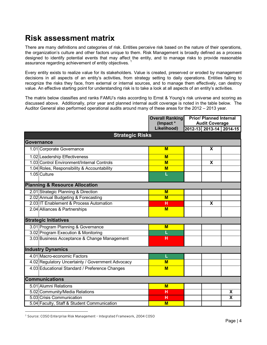## **Risk assessment matrix**

There are many definitions and categories of risk. Entities perceive risk based on the nature of their operations, the organization's culture and other factors unique to them. Risk Management is broadly defined as a process designed to identify potential events that may affect the entity, and to manage risks to provide reasonable assurance regarding achievement of entity objectives.<sup>1</sup>

Every entity exists to realize value for its stakeholders. Value is created, preserved or eroded by management decisions in all aspects of an entity's activities, from strategy setting to daily operations. Entities failing to recognize the risks they face, from external or internal sources, and to manage them effectively, can destroy value. An effective starting point for understanding risk is to take a look at all aspects of an entity's activities.

The matrix below classifies and ranks FAMU's risks according to Ernst & Young's risk universe and scoring as discussed above. Additionally, prior year and planned internal audit coverage is noted in the table below. The Auditor General also performed operational audits around many of these areas for the 2012 – 2013 year.

|                       |                                                   | <b>Overall Ranking</b>  |  | <b>Prior/Planned Internal</b> |                         |
|-----------------------|---------------------------------------------------|-------------------------|--|-------------------------------|-------------------------|
|                       |                                                   | (Impact *               |  | <b>Audit Coverage</b>         |                         |
|                       |                                                   | Likelihood)             |  |                               | 2012-13 2013-14 2014-15 |
|                       | <b>Strategic Risks</b>                            |                         |  |                               |                         |
|                       | Governance                                        |                         |  |                               |                         |
|                       | 1.01 Corporate Governance                         | M                       |  | X                             |                         |
|                       | 1.02 Leadership Effectiveness                     | M                       |  |                               |                         |
|                       | 1.03 Control Environment/Internal Controls        | $\overline{\mathsf{M}}$ |  | $\overline{\mathbf{x}}$       |                         |
|                       | 1.04 Roles, Responsibility & Accountability       | $\overline{\mathsf{M}}$ |  |                               |                         |
|                       | 1.05 Culture                                      |                         |  |                               |                         |
|                       | <b>Planning &amp; Resource Allocation</b>         |                         |  |                               |                         |
|                       | 2.01 Strategic Planning & Direction               | $M$                     |  |                               |                         |
|                       | 2.02 Annual Budgeting & Forecasting               | M                       |  |                               |                         |
|                       | 2.03 IT Enablement & Process Automation           | H                       |  | X                             |                         |
|                       | 2.04 Alliances & Partnerships                     | M                       |  |                               |                         |
|                       | <b>Strategic Initiatives</b>                      |                         |  |                               |                         |
|                       | 3.01 Program Planning & Governance                | M                       |  |                               |                         |
|                       | 3.02 Program Execution & Monitoring               |                         |  |                               |                         |
|                       | 3.03 Business Acceptance & Change Management      | н                       |  |                               |                         |
|                       | <b>Industry Dynamics</b>                          |                         |  |                               |                         |
|                       | 4.01 Macro-economic Factors                       |                         |  |                               |                         |
|                       | 4.02 Regulatory Uncertainty / Government Advocacy | M                       |  |                               |                         |
|                       | 4.03 Educational Standard / Preference Changes    | M                       |  |                               |                         |
| <b>Communications</b> |                                                   |                         |  |                               |                         |
|                       | 5.01 Alumni Relations                             | M                       |  |                               |                         |
|                       | 5.02 Community/Media Relations                    | н                       |  |                               | X                       |
|                       | 5.03 Crisis Communication                         | н                       |  |                               | X                       |
|                       | 5.04 Faculty, Staff & Student Communication       | M                       |  |                               |                         |

<sup>&</sup>lt;sup>1</sup> Source: COSO Enterprise Risk Management - Integrated Framework, 2004 COSO

 $\overline{a}$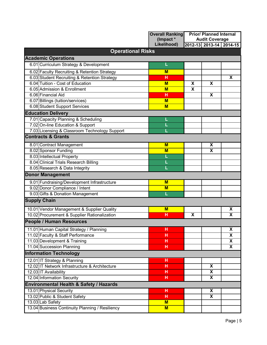|                                                 | <b>Overall Ranking</b><br>(Impact * |   | <b>Prior/ Planned Internal</b><br><b>Audit Coverage</b> |                         |
|-------------------------------------------------|-------------------------------------|---|---------------------------------------------------------|-------------------------|
|                                                 | Likelihood)                         |   |                                                         | 2012-13 2013-14 2014-15 |
| <b>Operational Risks</b>                        |                                     |   |                                                         |                         |
| <b>Academic Operations</b>                      |                                     |   |                                                         |                         |
| 6.01 Curriculum Strategy & Development          | L                                   |   |                                                         |                         |
| 6.02 Faculty Recruiting & Retention Strategy    | $M$                                 |   |                                                         |                         |
| 6.03 Student Recruiting & Retention Strategy    | н                                   |   |                                                         | X                       |
| 6.04 Tuition - Cost of Education                | M                                   | X | X                                                       |                         |
| 6.05 Admission & Enrollment                     | $M$                                 | X |                                                         |                         |
| 6.06 Financial Aid                              | н                                   |   | X                                                       |                         |
| 6.07 Billings (tuition/services)                | $M$                                 |   |                                                         |                         |
| 6.08 Student Support Services                   | $M$                                 |   |                                                         |                         |
| <b>Education Delivery</b>                       |                                     |   |                                                         |                         |
| 7.01 Capacity Planning & Scheduling             |                                     |   |                                                         |                         |
| 7.02 On-line Education & Support                |                                     |   |                                                         |                         |
| 7.03 Licensing & Classroom Technology Support   |                                     |   |                                                         |                         |
| <b>Contracts &amp; Grants</b>                   |                                     |   |                                                         |                         |
| 8.01 Contract Management                        | $M$                                 |   | X                                                       |                         |
| 8.02 Sponsor Funding                            | M                                   |   | X                                                       |                         |
| 8.03 Intellectual Property                      |                                     |   |                                                         |                         |
| 8.04 Clinical Trials Research Billing           |                                     |   |                                                         |                         |
| 8.05 Research & Data Integrity                  |                                     |   |                                                         |                         |
| <b>Donor Management</b>                         |                                     |   |                                                         |                         |
| 9.01 Fundraising/Development Infrastructure     | M                                   |   |                                                         |                         |
| 9.02 Donor Compliance / Intent                  | $\mathbf M$                         |   |                                                         |                         |
| 9.03 Gifts & Donation Management                | L                                   |   |                                                         |                         |
| <b>Supply Chain</b>                             |                                     |   |                                                         |                         |
| 10.01 Vendor Management & Supplier Quality      | $M$                                 |   |                                                         | X                       |
| 10.02 Procurement & Supplier Rationalization    | н                                   | X |                                                         | $\overline{\mathbf{x}}$ |
| <b>People / Human Resources</b>                 |                                     |   |                                                         |                         |
| 11.01 Human Capital Strategy / Planning         | н                                   |   |                                                         | X                       |
| 11.02 Faculty & Staff Performance               | н                                   |   |                                                         | $\overline{\mathsf{x}}$ |
| 11.03 Development & Training                    | н                                   |   |                                                         | X                       |
| 11.04 Succession Planning                       | н                                   |   |                                                         | $\overline{\mathbf{X}}$ |
| <b>Information Technology</b>                   |                                     |   |                                                         |                         |
| 12.01 IT Strategy & Planning                    | н                                   |   |                                                         |                         |
| 12.02 IT Network Infrastructure & Architecture  | н                                   |   | X                                                       |                         |
| 12.03 IT Availability                           | н                                   |   | X                                                       |                         |
| 12.04 Information Security                      | н                                   |   | X                                                       |                         |
| Environmental Health & Safety / Hazards         |                                     |   |                                                         |                         |
| 13.01 Physical Security                         | н                                   |   | X                                                       |                         |
| 13.02 Public & Student Safety                   | н                                   |   | X                                                       |                         |
| 13.03 Lab Safety                                | M                                   |   |                                                         |                         |
| 13.04 Business Continuity Planning / Resiliency | $M$                                 |   |                                                         |                         |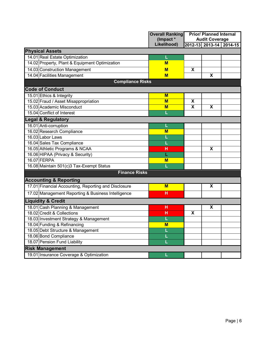|                                                      | <b>Overall Ranking</b>   | <b>Prior/Planned Internal</b><br><b>Audit Coverage</b> |                         |                         |
|------------------------------------------------------|--------------------------|--------------------------------------------------------|-------------------------|-------------------------|
|                                                      | (Impact *<br>Likelihood) |                                                        |                         | 2012-13 2013-14 2014-15 |
| <b>Physical Assets</b>                               |                          |                                                        |                         |                         |
| 14.01 Real Estate Optimization                       |                          |                                                        |                         |                         |
| 14.02 Property, Plant & Equipment Optimization       | M                        |                                                        |                         |                         |
|                                                      |                          |                                                        |                         |                         |
| 14.03 Construction Management                        | M                        | X                                                      |                         |                         |
| 14.04 Facilities Management                          | M                        |                                                        | $\overline{\mathsf{x}}$ |                         |
| <b>Compliance Risks</b>                              |                          |                                                        |                         |                         |
| <b>Code of Conduct</b>                               |                          |                                                        |                         |                         |
| 15.01 Ethics & Integrity                             | M                        |                                                        |                         |                         |
| 15.02 Fraud / Asset Misappropriation                 | M                        | X                                                      |                         |                         |
| 15.03 Academic Misconduct                            | $\overline{\mathsf{M}}$  | X                                                      | $\overline{\mathbf{X}}$ |                         |
| 15.04 Conflict of Interest                           |                          |                                                        |                         |                         |
| <b>Legal &amp; Regulatory</b>                        |                          |                                                        |                         |                         |
| 16.01 Anti-corruption                                |                          |                                                        |                         |                         |
| 16.02 Research Compliance                            | M                        |                                                        |                         |                         |
| 16.03 Labor Laws                                     |                          |                                                        |                         |                         |
| 16.04 Sales Tax Compliance                           |                          |                                                        |                         |                         |
| 16.05 Athletic Programs & NCAA                       | н                        |                                                        | X                       |                         |
| 16.06 HIPAA (Privacy & Security)                     |                          |                                                        |                         |                         |
| 16.07 FERPA                                          | M                        |                                                        |                         |                         |
| 16.08 Maintain 501(c)3 Tax-Exempt Status             |                          |                                                        |                         |                         |
| <b>Finance Risks</b>                                 |                          |                                                        |                         |                         |
| <b>Accounting &amp; Reporting</b>                    |                          |                                                        |                         |                         |
| 17.01 Financial Accounting, Reporting and Disclosure | M                        |                                                        | X                       |                         |
| 17.02 Management Reporting & Business Intelligence   | н                        |                                                        |                         |                         |
| <b>Liquidity &amp; Credit</b>                        |                          |                                                        |                         |                         |
| 18.01 Cash Planning & Management                     | н                        |                                                        | X                       |                         |
| 18.02 Credit & Collections                           | н                        | X                                                      |                         |                         |
| 18.03 Investment Strategy & Management               | L                        |                                                        |                         |                         |
| 18.04 Funding & Refinancing                          | M                        |                                                        |                         |                         |
| 18.05 Debt Structure & Management                    |                          |                                                        |                         |                         |
| 18.06 Bond Compliance                                |                          |                                                        |                         |                         |
| 18.07 Pension Fund Liability                         |                          |                                                        |                         |                         |
| <b>Risk Management</b>                               |                          |                                                        |                         |                         |
| 19.01 Insurance Coverage & Optimization              |                          |                                                        |                         |                         |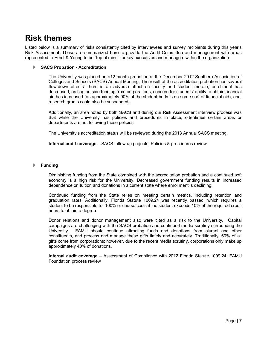### **Risk themes**

Listed below is a summary of risks consistently cited by interviewees and survey recipients during this year's Risk Assessment. These are summarized here to provide the Audit Committee and management with areas represented to Ernst & Young to be "top of mind" for key executives and managers within the organization.

#### u **SACS Probation - Accreditation**

The University was placed on a12-month probation at the December 2012 Southern Association of Colleges and Schools (SACS) Annual Meeting. The result of the accreditation probation has several flow-down effects: there is an adverse effect on faculty and student morale; enrollment has decreased, as has outside funding from corporations; concern for students' ability to obtain financial aid has increased (as approximately 90% of the student body is on some sort of financial aid); and, research grants could also be suspended.

Additionally, an area noted by both SACS and during our Risk Assessment interview process was that while the University has policies and procedures in place, oftentimes certain areas or departments are not following these policies.

The University's accreditation status will be reviewed during the 2013 Annual SACS meeting.

**Internal audit coverage** – SACS follow-up projects; Policies & procedures review

#### **Funding**

Diminishing funding from the State combined with the accreditation probation and a continued soft economy is a high risk for the University. Decreased government funding results in increased dependence on tuition and donations in a current state where enrollment is declining.

Continued funding from the State relies on meeting certain metrics, including retention and graduation rates. Additionally, Florida Statute 1009.24 was recently passed, which requires a student to be responsible for 100% of course costs if the student exceeds 10% of the required credit hours to obtain a degree.

Donor relations and donor management also were cited as a risk to the University. Capital campaigns are challenging with the SACS probation and continued media scrutiny surrounding the University. FAMU should continue attracting funds and donations from alumni and other constituents, and process and manage these gifts timely and accurately. Traditionally, 60% of all gifts come from corporations; however, due to the recent media scrutiny, corporations only make up approximately 40% of donations.

**Internal audit coverage** – Assessment of Compliance with 2012 Florida Statute 1009.24; FAMU Foundation process review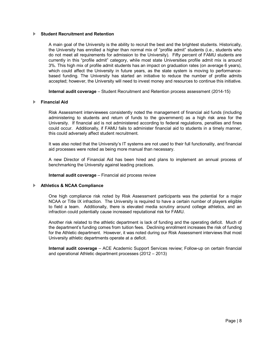#### **▶ Student Recruitment and Retention**

A main goal of the University is the ability to recruit the best and the brightest students. Historically, the University has enrolled a higher than normal mix of "profile admit" students (i.e., students who do not meet all requirements for admission to the University). Fifty percent of FAMU students are currently in this "profile admit" category, while most state Universities profile admit mix is around 3%. This high mix of profile admit students has an impact on graduation rates (on average 6 years), which could affect the University in future years, as the state system is moving to performancebased funding. The University has started an initiative to reduce the number of profile admits accepted; however, the University will need to invest money and resources to continue this initiative.

**Internal audit coverage** – Student Recruitment and Retention process assessment (2014-15)

#### u **Financial Aid**

Risk Assessment interviewees consistently noted the management of financial aid funds (including administering to students and return of funds to the government) as a high risk area for the University. If financial aid is not administered according to federal regulations, penalties and fines could occur. Additionally, if FAMU fails to administer financial aid to students in a timely manner, this could adversely affect student recruitment.

It was also noted that the University's IT systems are not used to their full functionality, and financial aid processes were noted as being more manual than necessary.

A new Director of Financial Aid has been hired and plans to implement an annual process of benchmarking the University against leading practices.

**Internal audit coverage** – Financial aid process review

#### u **Athletics & NCAA Compliance**

One high compliance risk noted by Risk Assessment participants was the potential for a major NCAA or Title IX infraction. The University is required to have a certain number of players eligible to field a team. Additionally, there is elevated media scrutiny around college athletics, and an infraction could potentially cause increased reputational risk for FAMU.

Another risk related to the athletic department is lack of funding and the operating deficit. Much of the department's funding comes from tuition fees. Declining enrollment increases the risk of funding for the Athletic department. However, it was noted during our Risk Assessment interviews that most University athletic departments operate at a deficit.

**Internal audit coverage** – ACE Academic Support Services review; Follow-up on certain financial and operational Athletic department processes (2012 – 2013)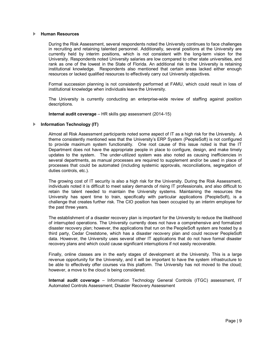#### **E** Human Resources

During the Risk Assessment, several respondents noted the University continues to face challenges in recruiting and retaining talented personnel. Additionally, several positions at the University are currently held by interim positions, which is not consistent with the long-term vision for the University. Respondents noted University salaries are low compared to other state universities, and rank as one of the lowest in the State of Florida. An additional risk to the University is retaining institutional knowledge. Respondents also mentioned that certain areas lacked either enough resources or lacked qualified resources to effectively carry out University objectives.

Formal succession planning is not consistently performed at FAMU, which could result in loss of institutional knowledge when individuals leave the University.

The University is currently conducting an enterprise-wide review of staffing against position descriptions.

**Internal audit coverage** – HR skills gap assessment (2014-15)

#### ▶ Information Technology (IT)

Almost all Risk Assessment participants noted some aspect of IT as a high risk for the University. A theme consistently mentioned was that the University's ERP System (PeopleSoft) is not configured to provide maximum system functionality. One root cause of this issue noted is that the IT Department does not have the appropriate people in place to configure, design, and make timely updates to the system. The under-utilized system was also noted as causing inefficiencies in several departments, as manual processes are required to supplement and/or be used in place of processes that could be automated (including systemic approvals, reconciliations, segregation of duties controls, etc.).

The growing cost of IT security is also a high risk for the University. During the Risk Assessment, individuals noted it is difficult to meet salary demands of rising IT professionals, and also difficult to retain the talent needed to maintain the University systems. Maintaining the resources the University has spent time to train, specifically with particular applications (PeopleSoft), is a challenge that creates further risk. The CIO position has been occupied by an interim employee for the past three years.

The establishment of a disaster recovery plan is important for the University to reduce the likelihood of interrupted operations. The University currently does not have a comprehensive and formalized disaster recovery plan; however, the applications that run on the PeopleSoft system are hosted by a third party, Cedar Creststone, which has a disaster recovery plan and could recover PeopleSoft data. However, the University uses several other IT applications that do not have formal disaster recovery plans and which could cause significant interruptions if not easily recoverable.

Finally, online classes are in the early stages of development at the University. This is a large revenue opportunity for the University, and it will be important to have the system infrastructure to be able to effectively offer courses via this platform. The University has not moved to the cloud; however, a move to the cloud is being considered.

**Internal audit coverage** – Information Technology General Controls (ITGC) assessment, IT Automated Controls Assessment; Disaster Recovery Assessment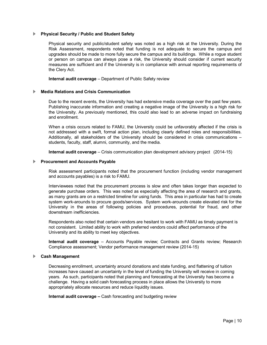#### u **Physical Security / Public and Student Safety**

Physical security and public/student safety was noted as a high risk at the University. During the Risk Assessment, respondents noted that funding is not adequate to secure the campus and upgrades should be made to more fully secure the campus and its buildings. While a rogue student or person on campus can always pose a risk, the University should consider if current security measures are sufficient and if the University is in compliance with annual reporting requirements of the Clery Act.

**Internal audit coverage** – Department of Public Safety review

#### ▶ Media Relations and Crisis Communication

Due to the recent events, the University has had extensive media coverage over the past few years. Publishing inaccurate information and creating a negative image of the University is a high risk for the University. As previously mentioned, this could also lead to an adverse impact on fundraising and enrollment.

When a crisis occurs related to FAMU, the University could be unfavorably affected if the crisis is not addressed with a swift, formal action plan, including clearly defined roles and responsibilities. Additionally, all stakeholders of the University should be considered in crisis communications – students, faculty, staff, alumni, community, and the media.

**Internal audit coverage** – Crisis communication plan development advisory project (2014-15)

#### u **Procurement and Accounts Payable**

Risk assessment participants noted that the procurement function (including vendor management and accounts payables) is a risk to FAMU.

Interviewees noted that the procurement process is slow and often takes longer than expected to generate purchase orders. This was noted as especially affecting the area of research and grants, as many grants are on a restricted timeline for using funds. This area in particular has had to create system work-arounds to procure goods/services. System work-arounds create elevated risk for the University in the areas of following policies and procedures, potential for fraud, and other downstream inefficiencies.

Respondents also noted that certain vendors are hesitant to work with FAMU as timely payment is not consistent. Limited ability to work with preferred vendors could affect performance of the University and its ability to meet key objectives.

**Internal audit coverage** – Accounts Payable review; Contracts and Grants review; Research Compliance assessment; Vendor performance management review (2014-15)

#### **Example 25 Cash Management**

Decreasing enrollment, uncertainty around donations and state funding, and flattening of tuition increases have caused an uncertainty in the level of funding the University will receive in coming years. As such, participants noted that planning and forecasting at the University has become a challenge. Having a solid cash forecasting process in place allows the University to more appropriately allocate resources and reduce liquidity issues.

**Internal audit coverage –** Cash forecasting and budgeting review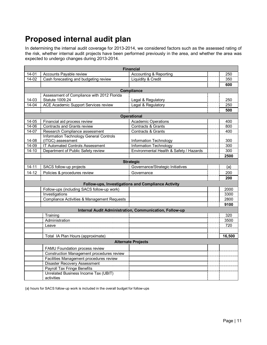## **Proposed internal audit plan**

In determining the internal audit coverage for 2013-2014, we considered factors such as the assessed rating of the risk, whether internal audit projects have been performed previously in the area, and whether the area was expected to undergo changes during 2013-2014.

|                           | <b>Financial</b>                                       |                                                                |        |  |  |
|---------------------------|--------------------------------------------------------|----------------------------------------------------------------|--------|--|--|
| 14-01                     | Accounts Payable review                                | <b>Accounting &amp; Reporting</b>                              | 250    |  |  |
| $14 - 02$                 | Cash forecasting and budgeting review                  | Liquidity & Credit                                             | 350    |  |  |
|                           |                                                        |                                                                | 600    |  |  |
|                           |                                                        | <b>Compliance</b>                                              |        |  |  |
|                           | Assessment of Compliance with 2012 Florida             |                                                                |        |  |  |
| $14 - 03$                 | Statute 1009.24                                        | Legal & Regulatory                                             | 250    |  |  |
| $14 - 04$                 | ACE Academic Support Services review                   | Legal & Regulatory                                             | 250    |  |  |
|                           |                                                        |                                                                | 500    |  |  |
|                           |                                                        | <b>Operational</b>                                             |        |  |  |
| $14 - 05$                 | Financial aid process review                           | <b>Academic Operations</b>                                     | 400    |  |  |
| $14 - 06$                 | Contracts and Grants review                            | Contracts & Grants                                             | 800    |  |  |
| $14 - 07$                 | Research Compliance assessment                         | <b>Contracts &amp; Grants</b>                                  | 400    |  |  |
|                           | <b>Information Technology General Controls</b>         |                                                                |        |  |  |
| $14-08$                   | (ITGC) assessment                                      | Information Technology                                         | 300    |  |  |
| 14-09                     | IT Automated Controls Assessment                       | Information Technology                                         | 300    |  |  |
| $14 - 10$                 | Department of Public Safety review                     | Environmental Health & Safety / Hazards                        | 300    |  |  |
|                           |                                                        |                                                                | 2500   |  |  |
|                           |                                                        | <b>Strategic</b>                                               |        |  |  |
| $14 - 11$                 | SACS follow-up projects                                | Governance/Strategic Initiatives                               | ${a}$  |  |  |
| $14 - 12$                 | Policies & procedures review                           | Governance                                                     | 200    |  |  |
|                           |                                                        |                                                                | 200    |  |  |
|                           | Follow-ups, Investigations and Compliance Activity     |                                                                |        |  |  |
|                           | Follow-ups (including SACS follow-up work)             |                                                                | 2000   |  |  |
|                           | Investigations                                         |                                                                | 3300   |  |  |
|                           | <b>Compliance Activities &amp; Management Requests</b> |                                                                | 2800   |  |  |
|                           |                                                        |                                                                | 9100   |  |  |
|                           |                                                        | <b>Internal Audit Administration, Communication, Follow-up</b> |        |  |  |
|                           | Training                                               |                                                                | 320    |  |  |
|                           | Administration                                         |                                                                | 3500   |  |  |
|                           | Leave                                                  |                                                                | 720    |  |  |
|                           |                                                        |                                                                |        |  |  |
|                           | Total IA Plan Hours (approximate)                      |                                                                | 16,500 |  |  |
| <b>Alternate Projects</b> |                                                        |                                                                |        |  |  |
|                           | FAMU Foundation process review                         |                                                                |        |  |  |
|                           | Construction Management procedures review              |                                                                |        |  |  |
|                           | Facilities Management procedures review                |                                                                |        |  |  |
|                           | <b>Disaster Recovery Assessment</b>                    |                                                                |        |  |  |
|                           | <b>Payroll Tax Fringe Benefits</b>                     |                                                                |        |  |  |
|                           | Unrelated Business Income Tax (UBIT)                   |                                                                |        |  |  |
|                           | activities                                             |                                                                |        |  |  |

{a} hours for SACS follow-up work is included in the overall budget for follow-ups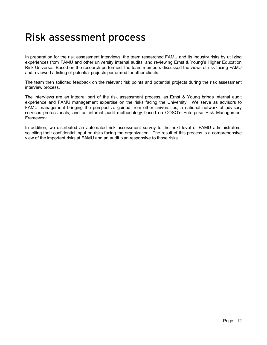# Risk assessment process

In preparation for the risk assessment interviews, the team researched FAMU and its industry risks by utilizing experiences from FAMU and other university internal audits, and reviewing Ernst & Young's Higher Education Risk Universe. Based on the research performed, the team members discussed the views of risk facing FAMU and reviewed a listing of potential projects performed for other clients.

The team then solicited feedback on the relevant risk points and potential projects during the risk assessment interview process.

The interviews are an integral part of the risk assessment process, as Ernst & Young brings internal audit experience and FAMU management expertise on the risks facing the University. We serve as advisors to FAMU management bringing the perspective gained from other universities, a national network of advisory services professionals, and an internal audit methodology based on COSO's Enterprise Risk Management Framework.

In addition, we distributed an automated risk assessment survey to the next level of FAMU administrators, soliciting their confidential input on risks facing the organization. The result of this process is a comprehensive view of the important risks at FAMU and an audit plan responsive to those risks.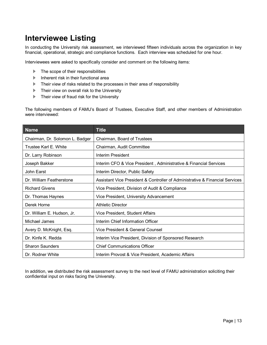## **Interviewee Listing**

In conducting the University risk assessment, we interviewed fifteen individuals across the organization in key financial, operational, strategic and compliance functions. Each interview was scheduled for one hour.

Interviewees were asked to specifically consider and comment on the following items:

- $\blacktriangleright$  The scope of their responsibilities
- $\blacktriangleright$  Inherent risk in their functional area
- $\blacktriangleright$  Their view of risks related to the processes in their area of responsibility
- $\blacktriangleright$  Their view on overall risk to the University
- $\blacktriangleright$  Their view of fraud risk for the University

The following members of FAMU's Board of Trustees, Executive Staff, and other members of Administration were interviewed:

| <b>Name</b>                     | <b>Title</b>                                                                 |
|---------------------------------|------------------------------------------------------------------------------|
| Chairman, Dr. Solomon L. Badger | Chairman, Board of Trustees                                                  |
| Trustee Karl E. White           | Chairman, Audit Committee                                                    |
| Dr. Larry Robinson              | Interim President                                                            |
| Joseph Bakker                   | Interim CFO & Vice President, Administrative & Financial Services            |
| John Earst                      | Interim Director, Public Safety                                              |
| Dr. William Featherstone        | Assistant Vice President & Controller of Administrative & Financial Services |
| <b>Richard Givens</b>           | Vice President, Division of Audit & Compliance                               |
| Dr. Thomas Haynes               | Vice President, University Advancement                                       |
| Derek Horne                     | <b>Athletic Director</b>                                                     |
| Dr. William E. Hudson, Jr.      | Vice President, Student Affairs                                              |
| Michael James                   | Interim Chief Information Officer                                            |
| Avery D. McKnight, Esq.         | Vice President & General Counsel                                             |
| Dr. Kinfe K. Redda              | Interim Vice President, Division of Sponsored Research                       |
| <b>Sharon Saunders</b>          | <b>Chief Communications Officer</b>                                          |
| Dr. Rodner White                | Interim Provost & Vice President, Academic Affairs                           |

In addition, we distributed the risk assessment survey to the next level of FAMU administration soliciting their confidential input on risks facing the University.